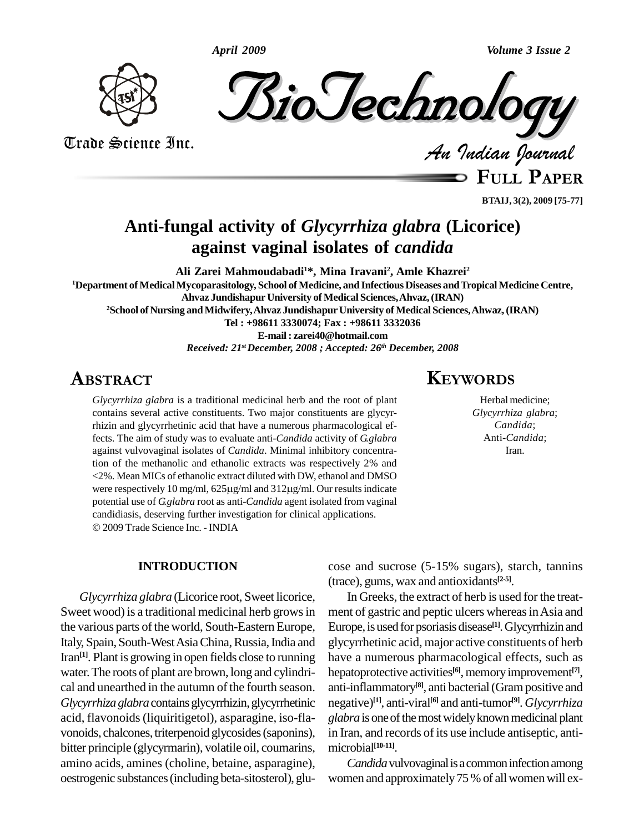*April 2009 Volume 3 Issue 2*



*Indian Journal*

Trade Science Inc. Trade Science Inc.

**FULL <sup>P</sup>APER**

**BTAIJ, 3(2), 2009 [75-77]**

# **Anti-fungal activity of** *Glycyrrhiza glabra* **(Licorice) against vaginal isolates of** *candida*

**Ali Zarei Mahmoudabadi1\*, Mina Iravani<sup>2</sup> , Amle Khazrei<sup>2</sup> <sup>1</sup>Department of MedicalMycoparasitology, School of Medicine, and Infectious Diseases andTropicalMedicine Centre, Ahvaz JundishapurUniversity of Medical Sciences,Ahvaz,(IRAN) <sup>2</sup>School of Nursing andMidwifery,Ahvaz JundishapurUniversity of Medical Sciences,Ahwaz,(IRAN) Tel : +98611 3330074; Fax : +98611 3332036 E-mail: [zarei40@hotmail.com](mailto:zarei40@hotmail.com)** *Received: 21 stDecember, 2008 ; Accepted: 26 th December, 2008* **KEY**, 2008

# **ABSTRACT**

*Glycyrrhiza glabra* is a traditional medicinal herb and the root of plant contains several active constituents. Two major constituents are glycyrrhizin and glycyrrhetinic acid that have a numerous pharmacological effects. The aim of study was to evaluate anti-*Candida* activity of *G.glabra* against vulvovaginal isolates of *Candida*. Minimal inhibitory concentration of the methanolic and ethanolic extracts was respectively 2% and<br>
<2%. Mean MICs of ethanolic extract diluted with DW, ethanol and DMSO<br>
were respectively 10 mg/ml, 625µg/ml and 312µg/ml. Our results indicate <2%. Mean MICs of ethanolic extract diluted with DW, ethanol and DMSO potential use of *G.glabra* root as anti-*Candida* agent isolated from vaginal candidiasis, deserving further investigation for clinical applications. 2009 Trade Science Inc. - INDIA

### **INTRODUCTION**

*Glycyrrhiza glabra* (Licorice root, Sweet licorice, Sweet wood) is a traditional medicinal herb grows in the various parts of the world, South-Eastern Europe, Italy, Spain, South-West Asia China, Russia, India and Iran<sup>[1]</sup>. Plant is growing in open fields close to running have a water.The roots of plant are brown, long and cylindri cal and unearthed in the autumn of the fourth season. *Glycyrrhizaglabra*containsglycyrrhizin,glycyrrhetinic acid, flavonoids(liquiritigetol), asparagine, iso-fla vonoids, chalcones, triterpenoid glycosides (saponins), bitter principle (glycyrmarin), volatile oil, coumarins, amino acids, amines (choline, betaine, asparagine), oestrogenic substances(including beta-sitosterol), glu-

## **KEYWORDS**

Herbal medicine; *Glycyrrhiza glabra*; *Candida*; Anti-*Candida*; Iran.

cose and sucrose (5-15% sugars), starch, tannins (trace), gums,wax and antioxidants **[2-5]**.

In Greeks, the extract of herb is used for the treat ment of gastric and peptic ulcers whereas in Asia and Europe, is used for psoriasis disease<sup>[1]</sup>. Glycyrrhizin and glycyrrhetinic acid, major active constituents of herb have a numerous pharmacological effects, such as hepatoprotective activities<sup>[6]</sup>, memory improvement<sup>[7]</sup>, anti-inflammatory **[8]**, anti bacterial(Grampositive and negative) **[1]**, anti-viral **[6]** and anti-tumor **[9]**. *Glycyrrhiza glabra* is one of the most widely known medicinal plant in Iran, and records of its use include antiseptic, anti microbial **[10-11]**.

*Candida* vulvovaginal is a common infection among women and approximately 75 % of all women will ex-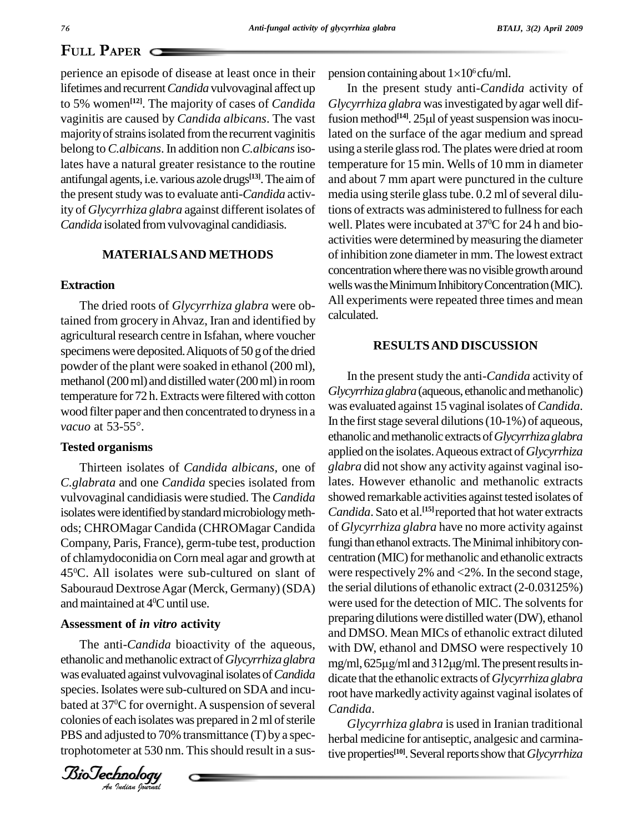### **PAPER**

perience an episode of disease at least once in their lifetimes and recurrent*Candida* vulvovaginal affect up to 5% women **[12]**. The majority of cases of *Candida* vaginitis are caused by *Candida albicans*. The vast majority of strains isolated from the recurrent vaginitis belong to *C.albicans*. In addition non *C.albicans*isolates have a natural greater resistance to the routine antifungal agents, i.e. various azole drugs<sup>[13]</sup>. The aim of and the present study was to evaluate anti-*Candida* activity of *Glycyrrhiza glabra* against different isolates of *Candida* isolated fromvulvovaginal candidiasis.

### **MATERIALSAND METHODS**

#### **Extraction**

The dried roots of *Glycyrrhiza glabra* were obtained from grocery inAhvaz, Iran and identified by agricultural research centre in Isfahan, where voucher specimens were deposited. Aliquots of 50 g of the dried powder of the plant were soaked in ethanol (200 ml),<br>methanol (200 ml) and distilled water (200 ml) in room temperature for 72 h. Extracts were filtered with cotton<br>wood filter paper and then concentrated to dryness in a<br>*vacuo* at 53-55°. In the f wood filter paper and then concentrated to drynessin a

#### **Tested organisms**

Thirteen isolates of *Candida albicans*, one of *C.glabrata* and one *Candida* species isolated from vulvovaginal candidiasis were studied. The*Candida* isolates were identified by standard microbiology methods; CHROMagar Candida (CHROMagar Candida Company, Paris, France), germ-tube test, production of chlamydoconidia on Corn meal agar and growth at 45<sup>o</sup>C. All isolates were sub-cultured on slant of wer Sabouraud DextroseAgar (Merck, Germany) (SDA) and maintained at  $4^{\circ}$ C until use.

#### **Assessment of** *in vitro* **activity**

Fire and Canada Solectivity of the aqueous, with D<br>ethanolic and methanolic extract of *Glycyrrhiza glabra* mg/ml, <sup>100</sup><br>bated at 37<sup>o</sup>C for overnight. A suspension of several *C* The anti-*Candida* bioactivity of the aqueous, was evaluated againstvulvovaginalisolates of*Candida* species. Isolates were sub-cultured on SDA and incucolonies of each isolates was prepared in 2 ml of sterile PBS and adjusted to 70% transmittance (T) by a spectrophotometer at 530 nm. This should result in a sus-

*Indian Journal*

pension containing about  $1\times10^6$  cfu/ml.

In the present study anti-*Candida* activity of *Glycyrrhiza glabra* wasinvestigated byagar well dif-In the present study anti-*Candida* activity of *Glycyrrhiza glabra* was investigated by agar well diffusion method<sup>[14]</sup>. 25µ of yeast suspension was inoculated on the surface of the agar medium and spread using a sterile glass rod. The plates were dried at room temperature for 15 min. Wells of 10 mm in diameter and about 7 mm apart were punctured in the culture media using sterile glass tube.  $0.2$  ml of several dilutions of extracts was administered to fullness for each well. Plates were incubated at 37 <sup>0</sup>C for 24 h and bio activities were determined bymeasuring the diameter of inhibition zone diameter in mm. The lowest extract concentration where there was no visible growth around wells was the Minimum Inhibitory Concentration (MIC). All experiments were repeated three times and mean calculated.

#### **RESULTSAND DISCUSSION**

In the present study the anti-*Candida* activity of *Glycyrrhiza glabra* (aqueous, ethanolic and methanolic) was evaluated against 15 vaginal isolates of*Candida*. In the first stage several dilutions  $(10-1%)$  of aqueous, ethanolic andmethanolic extractsof*Glycyrrhizaglabra* applied on the isolates.Aqueous extract of*Glycyrrhiza glabra* did notshow anyactivity against vaginal isolates. However ethanolic and methanolic extracts showed remarkable activities against tested isolates of *Candida*. Sato et al. **[15]**reported that hot water extracts of *Glycyrrhiza glabra* have no more activity against fungi than ethanol extracts. The Minimal inhibitory concentration (MIC) for methanolic and ethanolic extracts were respectively 2% and <2%. In the second stage, the serial dilutions of ethanolic extract (2-0.03125%) were used for the detection of MIC. The solvents for preparing dilutions were distilled water(DW), ethanol and DMSO. Mean MICs of ethanolic extract diluted with DW, ethanol and DMSO were respectively 10 mg/ml, 625µg/ml and 312µg/ml. The present results indicate that the ethanolic extracts of*Glycyrrhiza glabra* root have markedlyactivityagainst vaginal isolates of *Candida*.

*Glycyrrhiza glabra* is used in Iranian traditional herbal medicine for antiseptic, analgesic and carminative properties<sup>[10]</sup>. Several reports show that *Glycyrrhiza*